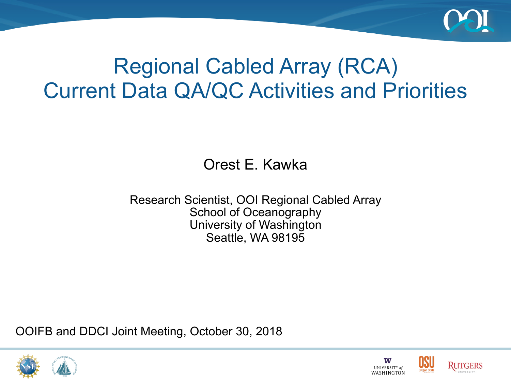

## Regional Cabled Array (RCA) Current Data QA/QC Activities and Priorities

Orest E. Kawka

Research Scientist, OOI Regional Cabled Array School of Oceanography University of Washington Seattle, WA 98195

OOIFB and DDCI Joint Meeting, October 30, 2018





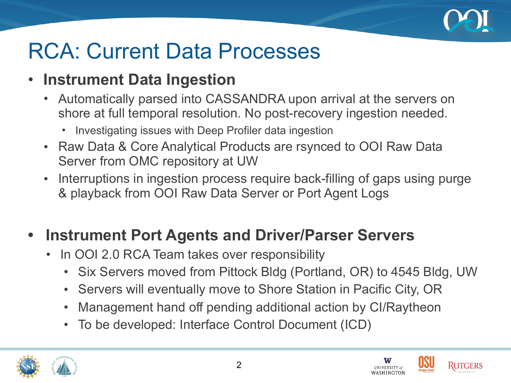

## RCA: Current Data Processes

## • **Instrument Data Ingestion**

- Automatically parsed into CASSANDRA upon arrival at the servers on shore at full temporal resolution. No post-recovery ingestion needed.
	- Investigating issues with Deep Profiler data ingestion
- Raw Data & Core Analytical Products are rsynced to OOI Raw Data Server from OMC repository at UW
- Interruptions in ingestion process require back-filling of gaps using purge & playback from OOI Raw Data Server or Port Agent Logs

## **• Instrument Port Agents and Driver/Parser Servers**

- In OOI 2.0 RCA Team takes over responsibility
	- Six Servers moved from Pittock Bldg (Portland, OR) to 4545 Bldg, UW
	- Servers will eventually move to Shore Station in Pacific City, OR
	- Management hand off pending additional action by CI/Raytheon
	- To be developed: Interface Control Document (ICD)





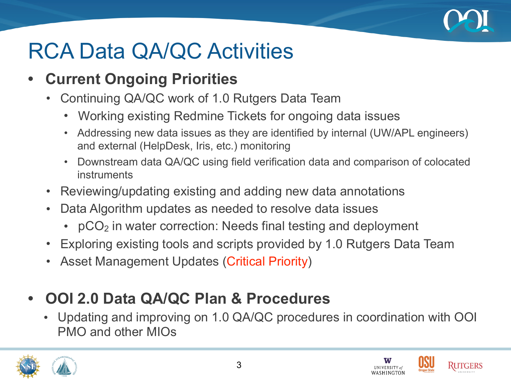

# RCA Data QA/QC Activities

- **• Current Ongoing Priorities**
	- Continuing QA/QC work of 1.0 Rutgers Data Team
		- Working existing Redmine Tickets for ongoing data issues
		- Addressing new data issues as they are identified by internal (UW/APL engineers) and external (HelpDesk, Iris, etc.) monitoring
		- Downstream data QA/QC using field verification data and comparison of colocated instruments
	- Reviewing/updating existing and adding new data annotations
	- Data Algorithm updates as needed to resolve data issues
		- pCO<sub>2</sub> in water correction: Needs final testing and deployment
	- Exploring existing tools and scripts provided by 1.0 Rutgers Data Team
	- Asset Management Updates (Critical Priority)
- **• OOI 2.0 Data QA/QC Plan & Procedures**
	- Updating and improving on 1.0 QA/QC procedures in coordination with OOI PMO and other MIOs





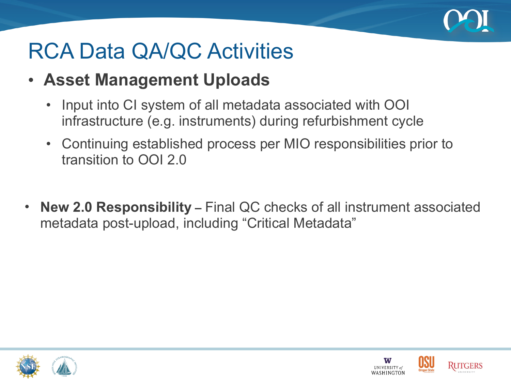

# RCA Data QA/QC Activities

- **Asset Management Uploads**
	- Input into CI system of all metadata associated with OOI infrastructure (e.g. instruments) during refurbishment cycle
	- Continuing established process per MIO responsibilities prior to transition to OOI 2.0
- **New 2.0 Responsibility** Final QC checks of all instrument associated metadata post-upload, including "Critical Metadata"





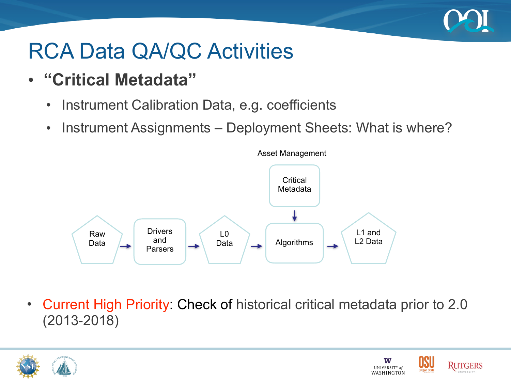

# RCA Data QA/QC Activities

- **"Critical Metadata"**
	- Instrument Calibration Data, e.g. coefficients
	- Instrument Assignments Deployment Sheets: What is where?



• Current High Priority: Check of historical critical metadata prior to 2.0 (2013-2018)



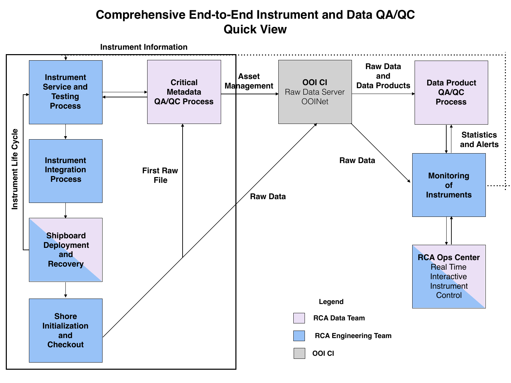#### **Comprehensive End-to-End Instrument and Data QA/QC Quick View**

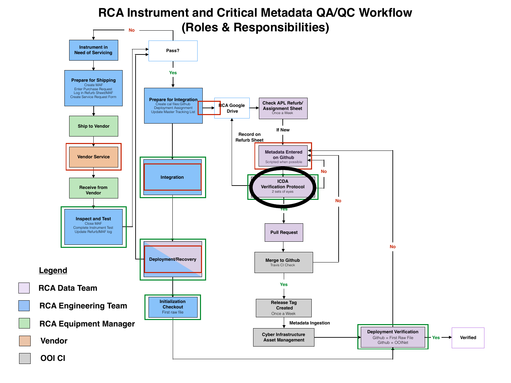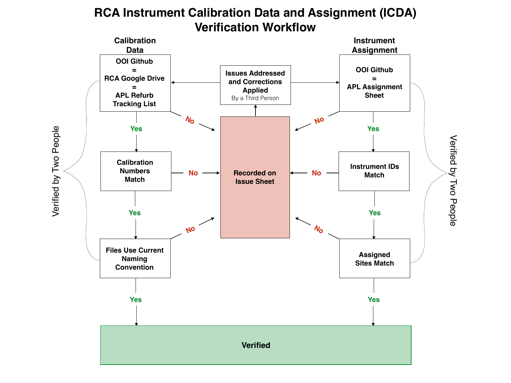

#### **RCA Instrument Calibration Data and Assignment (ICDA) Verification Workflow**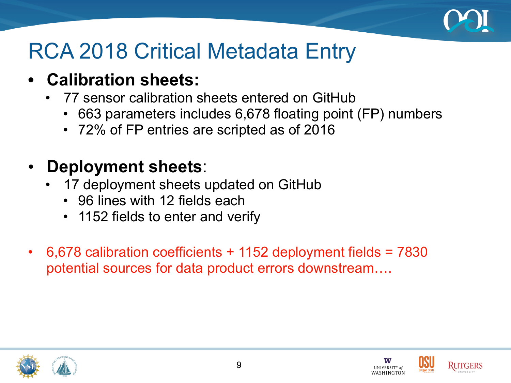

## RCA 2018 Critical Metadata Entry

## **• Calibration sheets:**

- 77 sensor calibration sheets entered on GitHub
	- 663 parameters includes 6,678 floating point (FP) numbers
	- 72% of FP entries are scripted as of 2016

## • **Deployment sheets**:

- 17 deployment sheets updated on GitHub
	- 96 lines with 12 fields each
	- 1152 fields to enter and verify
- 6,678 calibration coefficients + 1152 deployment fields = 7830 potential sources for data product errors downstream….





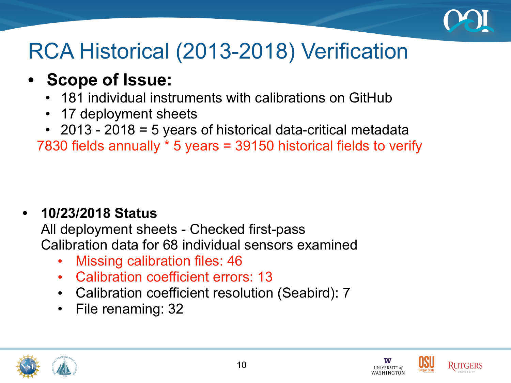

# RCA Historical (2013-2018) Verification

- **• Scope of Issue:**
	- 181 individual instruments with calibrations on GitHub
	- 17 deployment sheets
	- 2013 2018 = 5 years of historical data-critical metadata

7830 fields annually \* 5 years = 39150 historical fields to verify

## **• 10/23/2018 Status**

All deployment sheets - Checked first-pass Calibration data for 68 individual sensors examined

- Missing calibration files: 46
- Calibration coefficient errors: 13
- Calibration coefficient resolution (Seabird): 7

10

• File renaming: 32





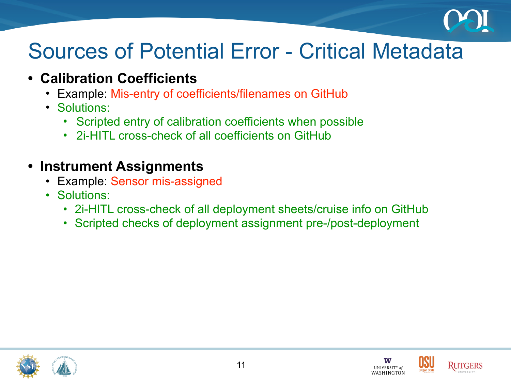

## Sources of Potential Error - Critical Metadata

- **• Calibration Coefficients** 
	- Example: Mis-entry of coefficients/filenames on GitHub
	- Solutions:
		- Scripted entry of calibration coefficients when possible
		- 2i-HITL cross-check of all coefficients on GitHub

### **• Instrument Assignments**

- Example: Sensor mis-assigned
- Solutions:
	- 2i-HITL cross-check of all deployment sheets/cruise info on GitHub
	- Scripted checks of deployment assignment pre-/post-deployment





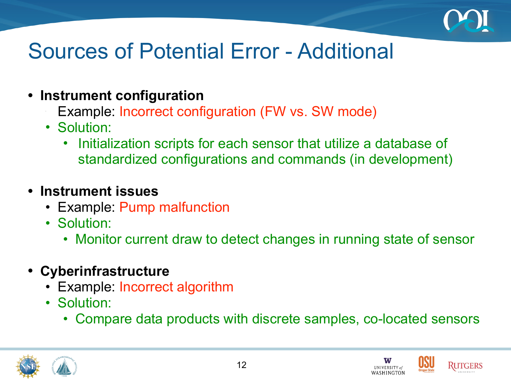

# Sources of Potential Error - Additional

- **• Instrument configuration** 
	- Example: Incorrect configuration (FW vs. SW mode)
	- Solution:

•

• Initialization scripts for each sensor that utilize a database of standardized configurations and commands (in development)

### **• Instrument issues**

- Example: Pump malfunction
- Solution:
	- Monitor current draw to detect changes in running state of sensor
- **• Cyberinfrastructure** 
	- Example: Incorrect algorithm
	- Solution:
		- Compare data products with discrete samples, co-located sensors



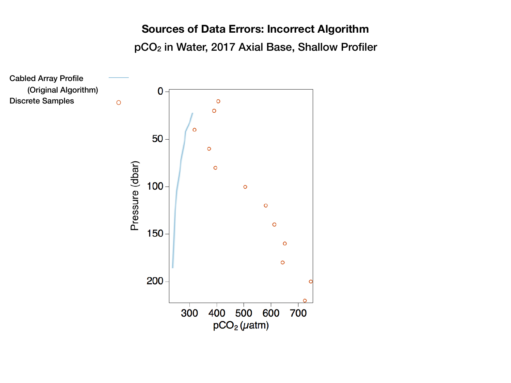#### **Sources of Data Errors: Incorrect Algorithm** pCO2 in Water, 2017 Axial Base, Shallow Profiler